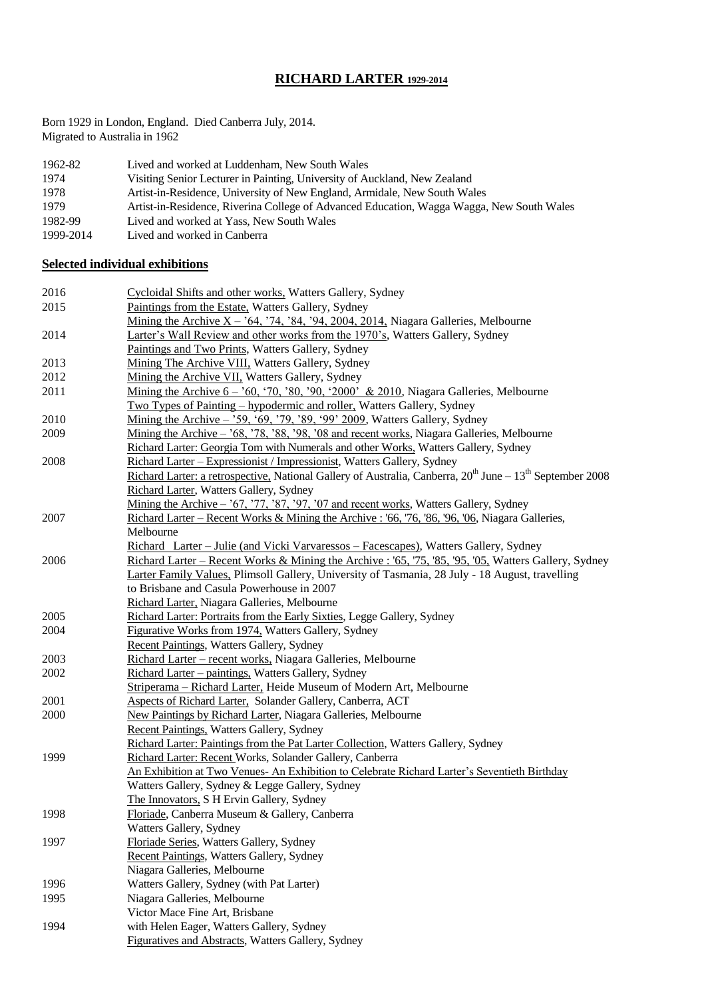# **RICHARD LARTER 1929-2014**

Born 1929 in London, England. Died Canberra July, 2014. Migrated to Australia in 1962

| 1962-82   | Lived and worked at Luddenham, New South Wales                                            |
|-----------|-------------------------------------------------------------------------------------------|
| 1974      | Visiting Senior Lecturer in Painting, University of Auckland, New Zealand                 |
| 1978      | Artist-in-Residence, University of New England, Armidale, New South Wales                 |
| 1979      | Artist-in-Residence, Riverina College of Advanced Education, Wagga Wagga, New South Wales |
| 1982-99   | Lived and worked at Yass, New South Wales                                                 |
| 1999-2014 | Lived and worked in Canberra                                                              |

## **Selected individual exhibitions**

| 2016 | Cycloidal Shifts and other works. Watters Gallery, Sydney                                                                 |
|------|---------------------------------------------------------------------------------------------------------------------------|
| 2015 | Paintings from the Estate, Watters Gallery, Sydney                                                                        |
|      | Mining the Archive $X - 64$ , '74, '84, '94, 2004, 2014, Niagara Galleries, Melbourne                                     |
| 2014 | Larter's Wall Review and other works from the 1970's, Watters Gallery, Sydney                                             |
|      | Paintings and Two Prints, Watters Gallery, Sydney                                                                         |
| 2013 | Mining The Archive VIII, Watters Gallery, Sydney                                                                          |
| 2012 | Mining the Archive VII, Watters Gallery, Sydney                                                                           |
| 2011 | Mining the Archive $6 - 60$ , '70, '80, '90, '2000' & 2010, Niagara Galleries, Melbourne                                  |
|      | <u>Two Types of Painting – hypodermic and roller,</u> Watters Gallery, Sydney                                             |
| 2010 | <u>Mining the Archive – '59, '69, '79, '89, '99' 2009</u> , Watters Gallery, Sydney                                       |
| 2009 | Mining the Archive - '68, '78, '88, '98, '08 and recent works, Niagara Galleries, Melbourne                               |
|      | Richard Larter: Georgia Tom with Numerals and other Works, Watters Gallery, Sydney                                        |
| 2008 | Richard Larter - Expressionist / Impressionist, Watters Gallery, Sydney                                                   |
|      | <u>Richard Larter: a retrospective,</u> National Gallery of Australia, Canberra, $20^{th}$ June $-13^{th}$ September 2008 |
|      | Richard Larter, Watters Gallery, Sydney                                                                                   |
|      | Mining the Archive - '67, '77, '87, '97, '07 and recent works, Watters Gallery, Sydney                                    |
| 2007 | Richard Larter – Recent Works & Mining the Archive : '66, '76, '86, '96, '06, Niagara Galleries,                          |
|      | Melbourne                                                                                                                 |
|      | Richard Larter – Julie (and Vicki Varvaressos – Facescapes), Watters Gallery, Sydney                                      |
| 2006 | Richard Larter – Recent Works & Mining the Archive : '65, '75, '85, '95, '05, Watters Gallery, Sydney                     |
|      | Larter Family Values, Plimsoll Gallery, University of Tasmania, 28 July - 18 August, travelling                           |
|      | to Brisbane and Casula Powerhouse in 2007                                                                                 |
|      | Richard Larter, Niagara Galleries, Melbourne                                                                              |
| 2005 | Richard Larter: Portraits from the Early Sixties, Legge Gallery, Sydney                                                   |
| 2004 | Figurative Works from 1974, Watters Gallery, Sydney                                                                       |
|      | <b>Recent Paintings, Watters Gallery, Sydney</b>                                                                          |
| 2003 | Richard Larter - recent works, Niagara Galleries, Melbourne                                                               |
| 2002 | Richard Larter – paintings, Watters Gallery, Sydney                                                                       |
|      | Striperama - Richard Larter, Heide Museum of Modern Art, Melbourne                                                        |
| 2001 | Aspects of Richard Larter, Solander Gallery, Canberra, ACT                                                                |
| 2000 | New Paintings by Richard Larter, Niagara Galleries, Melbourne                                                             |
|      | <b>Recent Paintings, Watters Gallery, Sydney</b>                                                                          |
|      | Richard Larter: Paintings from the Pat Larter Collection, Watters Gallery, Sydney                                         |
| 1999 | Richard Larter: Recent Works, Solander Gallery, Canberra                                                                  |
|      | An Exhibition at Two Venues- An Exhibition to Celebrate Richard Larter's Seventieth Birthday                              |
|      | Watters Gallery, Sydney & Legge Gallery, Sydney                                                                           |
|      | The Innovators, S H Ervin Gallery, Sydney                                                                                 |
| 1998 | Floriade, Canberra Museum & Gallery, Canberra                                                                             |
|      | Watters Gallery, Sydney                                                                                                   |
| 1997 | Floriade Series, Watters Gallery, Sydney                                                                                  |
|      | Recent Paintings, Watters Gallery, Sydney                                                                                 |
|      | Niagara Galleries, Melbourne                                                                                              |
| 1996 | Watters Gallery, Sydney (with Pat Larter)                                                                                 |
| 1995 | Niagara Galleries, Melbourne                                                                                              |
|      | Victor Mace Fine Art, Brisbane                                                                                            |
| 1994 | with Helen Eager, Watters Gallery, Sydney                                                                                 |
|      | <b>Figuratives and Abstracts, Watters Gallery, Sydney</b>                                                                 |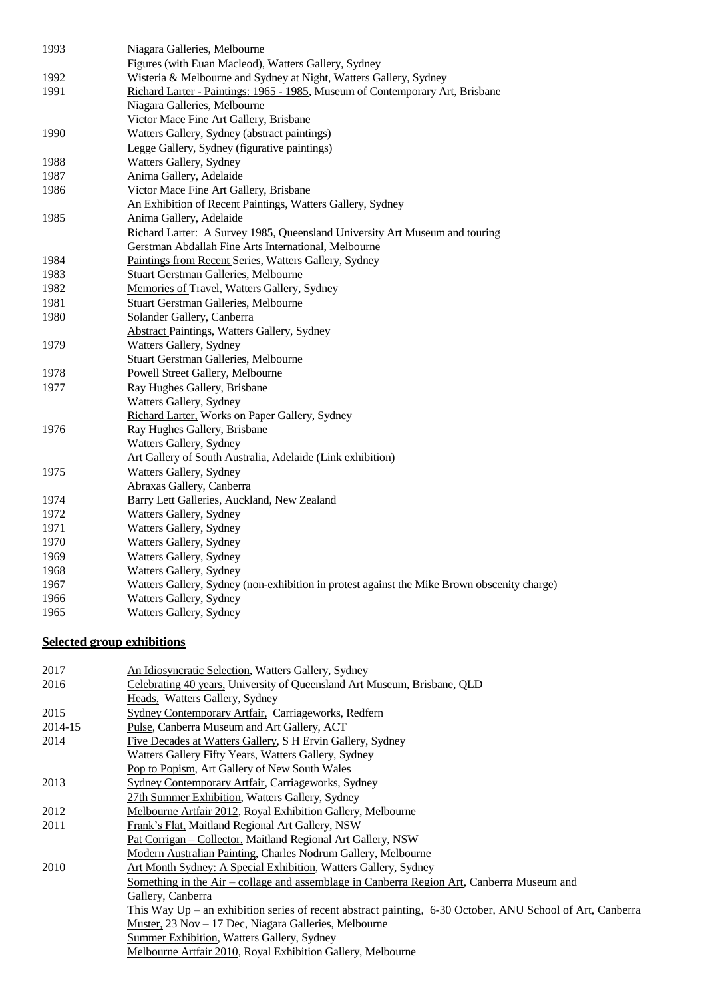| 1993 | Niagara Galleries, Melbourne                                                                |
|------|---------------------------------------------------------------------------------------------|
|      | Figures (with Euan Macleod), Watters Gallery, Sydney                                        |
| 1992 | Wisteria & Melbourne and Sydney at Night, Watters Gallery, Sydney                           |
| 1991 | Richard Larter - Paintings: 1965 - 1985, Museum of Contemporary Art, Brisbane               |
|      | Niagara Galleries, Melbourne                                                                |
|      | Victor Mace Fine Art Gallery, Brisbane                                                      |
| 1990 | Watters Gallery, Sydney (abstract paintings)                                                |
|      | Legge Gallery, Sydney (figurative paintings)                                                |
| 1988 | Watters Gallery, Sydney                                                                     |
| 1987 | Anima Gallery, Adelaide                                                                     |
| 1986 | Victor Mace Fine Art Gallery, Brisbane                                                      |
|      | An Exhibition of Recent Paintings, Watters Gallery, Sydney                                  |
| 1985 | Anima Gallery, Adelaide                                                                     |
|      | Richard Larter: A Survey 1985, Queensland University Art Museum and touring                 |
|      | Gerstman Abdallah Fine Arts International, Melbourne                                        |
| 1984 | Paintings from Recent Series, Watters Gallery, Sydney                                       |
| 1983 | Stuart Gerstman Galleries, Melbourne                                                        |
| 1982 | Memories of Travel, Watters Gallery, Sydney                                                 |
| 1981 | Stuart Gerstman Galleries, Melbourne                                                        |
| 1980 | Solander Gallery, Canberra                                                                  |
|      | <b>Abstract Paintings, Watters Gallery, Sydney</b>                                          |
| 1979 | Watters Gallery, Sydney                                                                     |
|      | Stuart Gerstman Galleries, Melbourne                                                        |
| 1978 | Powell Street Gallery, Melbourne                                                            |
| 1977 | Ray Hughes Gallery, Brisbane                                                                |
|      | Watters Gallery, Sydney                                                                     |
|      | Richard Larter, Works on Paper Gallery, Sydney                                              |
| 1976 | Ray Hughes Gallery, Brisbane                                                                |
|      | Watters Gallery, Sydney                                                                     |
|      | Art Gallery of South Australia, Adelaide (Link exhibition)                                  |
| 1975 | Watters Gallery, Sydney                                                                     |
|      | Abraxas Gallery, Canberra                                                                   |
| 1974 | Barry Lett Galleries, Auckland, New Zealand                                                 |
| 1972 | Watters Gallery, Sydney                                                                     |
| 1971 | Watters Gallery, Sydney                                                                     |
| 1970 | Watters Gallery, Sydney                                                                     |
| 1969 | Watters Gallery, Sydney                                                                     |
| 1968 | Watters Gallery, Sydney                                                                     |
| 1967 | Watters Gallery, Sydney (non-exhibition in protest against the Mike Brown obscenity charge) |
| 1966 | Watters Gallery, Sydney                                                                     |
| 1965 | Watters Gallery, Sydney                                                                     |
|      |                                                                                             |

## **Selected group exhibitions**

| 2017    | An Idiosyncratic Selection, Watters Gallery, Sydney                                                         |
|---------|-------------------------------------------------------------------------------------------------------------|
| 2016    | Celebrating 40 years, University of Queensland Art Museum, Brisbane, QLD                                    |
|         | Heads, Watters Gallery, Sydney                                                                              |
| 2015    | Sydney Contemporary Artfair, Carriageworks, Redfern                                                         |
| 2014-15 | Pulse, Canberra Museum and Art Gallery, ACT                                                                 |
| 2014    | Five Decades at Watters Gallery, S H Ervin Gallery, Sydney                                                  |
|         | Watters Gallery Fifty Years, Watters Gallery, Sydney                                                        |
|         | Pop to Popism, Art Gallery of New South Wales                                                               |
| 2013    | Sydney Contemporary Artfair, Carriageworks, Sydney                                                          |
|         | 27th Summer Exhibition, Watters Gallery, Sydney                                                             |
| 2012    | Melbourne Artfair 2012, Royal Exhibition Gallery, Melbourne                                                 |
| 2011    | Frank's Flat, Maitland Regional Art Gallery, NSW                                                            |
|         | Pat Corrigan - Collector, Maitland Regional Art Gallery, NSW                                                |
|         | Modern Australian Painting, Charles Nodrum Gallery, Melbourne                                               |
| 2010    | Art Month Sydney: A Special Exhibition, Watters Gallery, Sydney                                             |
|         | Something in the Air – collage and assemblage in Canberra Region Art, Canberra Museum and                   |
|         | Gallery, Canberra                                                                                           |
|         | This Way $Up$ – an exhibition series of recent abstract painting, 6-30 October, ANU School of Art, Canberra |
|         | Muster, 23 Nov – 17 Dec, Niagara Galleries, Melbourne                                                       |
|         | <b>Summer Exhibition, Watters Gallery, Sydney</b>                                                           |
|         | Melbourne Artfair 2010, Royal Exhibition Gallery, Melbourne                                                 |
|         |                                                                                                             |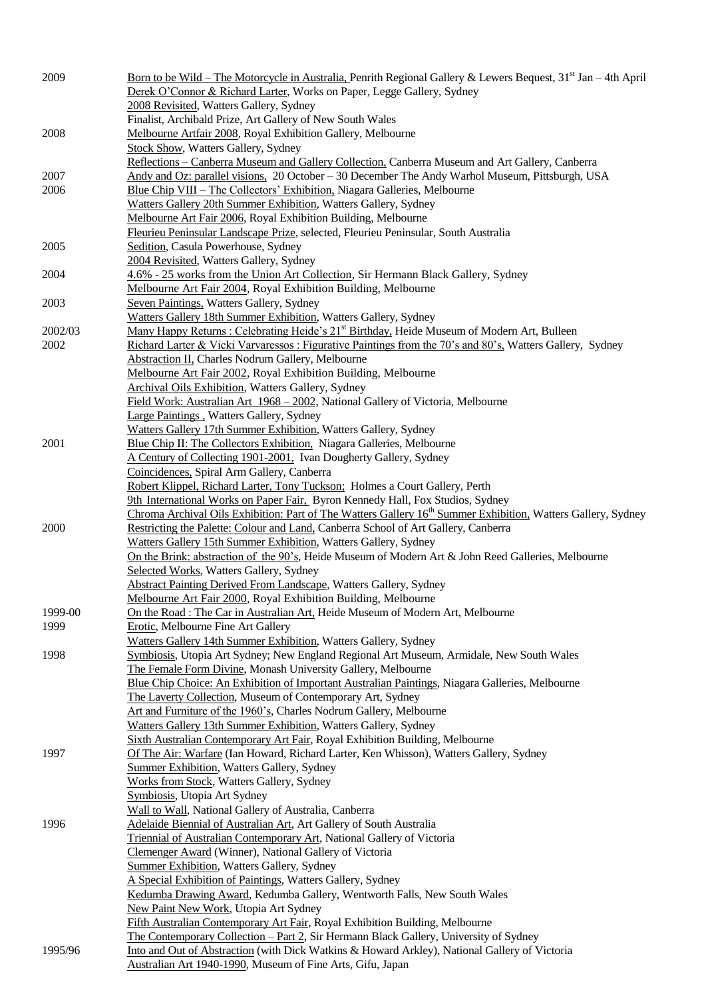| 2009    | <u>Born to be Wild – The Motorcycle in Australia, Penrith Regional Gallery &amp; Lewers Bequest, <math>31st</math> Jan – 4th April</u><br>Derek O'Connor & Richard Larter, Works on Paper, Legge Gallery, Sydney |
|---------|------------------------------------------------------------------------------------------------------------------------------------------------------------------------------------------------------------------|
|         | 2008 Revisited, Watters Gallery, Sydney                                                                                                                                                                          |
|         | Finalist, Archibald Prize, Art Gallery of New South Wales                                                                                                                                                        |
| 2008    | Melbourne Artfair 2008, Royal Exhibition Gallery, Melbourne                                                                                                                                                      |
|         | <b>Stock Show, Watters Gallery, Sydney</b>                                                                                                                                                                       |
|         | Reflections – Canberra Museum and Gallery Collection, Canberra Museum and Art Gallery, Canberra                                                                                                                  |
| 2007    | Andy and Oz: parallel visions, 20 October - 30 December The Andy Warhol Museum, Pittsburgh, USA                                                                                                                  |
| 2006    | Blue Chip VIII – The Collectors' Exhibition, Niagara Galleries, Melbourne                                                                                                                                        |
|         | Watters Gallery 20th Summer Exhibition, Watters Gallery, Sydney                                                                                                                                                  |
|         | Melbourne Art Fair 2006, Royal Exhibition Building, Melbourne                                                                                                                                                    |
|         | Fleurieu Peninsular Landscape Prize, selected, Fleurieu Peninsular, South Australia                                                                                                                              |
| 2005    | Sedition, Casula Powerhouse, Sydney                                                                                                                                                                              |
|         | 2004 Revisited, Watters Gallery, Sydney                                                                                                                                                                          |
| 2004    | 4.6% - 25 works from the Union Art Collection, Sir Hermann Black Gallery, Sydney                                                                                                                                 |
|         | Melbourne Art Fair 2004, Royal Exhibition Building, Melbourne                                                                                                                                                    |
| 2003    | Seven Paintings, Watters Gallery, Sydney                                                                                                                                                                         |
|         | Watters Gallery 18th Summer Exhibition, Watters Gallery, Sydney                                                                                                                                                  |
| 2002/03 | Many Happy Returns : Celebrating Heide's 21 <sup>st</sup> Birthday, Heide Museum of Modern Art, Bulleen                                                                                                          |
| 2002    | Richard Larter & Vicki Varvaressos: Figurative Paintings from the 70's and 80's, Watters Gallery, Sydney                                                                                                         |
|         | Abstraction II, Charles Nodrum Gallery, Melbourne                                                                                                                                                                |
|         | Melbourne Art Fair 2002, Royal Exhibition Building, Melbourne                                                                                                                                                    |
|         | Archival Oils Exhibition, Watters Gallery, Sydney                                                                                                                                                                |
|         | Field Work: Australian Art 1968 - 2002, National Gallery of Victoria, Melbourne                                                                                                                                  |
|         | Large Paintings, Watters Gallery, Sydney                                                                                                                                                                         |
| 2001    | Watters Gallery 17th Summer Exhibition, Watters Gallery, Sydney<br>Blue Chip II: The Collectors Exhibition. Niagara Galleries, Melbourne                                                                         |
|         | A Century of Collecting 1901-2001. Ivan Dougherty Gallery, Sydney                                                                                                                                                |
|         | Coincidences, Spiral Arm Gallery, Canberra                                                                                                                                                                       |
|         | Robert Klippel, Richard Larter, Tony Tuckson; Holmes a Court Gallery, Perth                                                                                                                                      |
|         | 9th International Works on Paper Fair, Byron Kennedy Hall, Fox Studios, Sydney                                                                                                                                   |
|         | Chroma Archival Oils Exhibition: Part of The Watters Gallery 16 <sup>th</sup> Summer Exhibition, Watters Gallery, Sydney                                                                                         |
| 2000    | Restricting the Palette: Colour and Land, Canberra School of Art Gallery, Canberra                                                                                                                               |
|         | Watters Gallery 15th Summer Exhibition, Watters Gallery, Sydney                                                                                                                                                  |
|         | On the Brink: abstraction of the 90's, Heide Museum of Modern Art & John Reed Galleries, Melbourne                                                                                                               |
|         | Selected Works, Watters Gallery, Sydney                                                                                                                                                                          |
|         | <b>Abstract Painting Derived From Landscape, Watters Gallery, Sydney</b>                                                                                                                                         |
|         | Melbourne Art Fair 2000, Royal Exhibition Building, Melbourne                                                                                                                                                    |
| 1999-00 | On the Road: The Car in Australian Art, Heide Museum of Modern Art, Melbourne                                                                                                                                    |
| 1999    | Erotic, Melbourne Fine Art Gallery                                                                                                                                                                               |
|         | Watters Gallery 14th Summer Exhibition, Watters Gallery, Sydney                                                                                                                                                  |
| 1998    | Symbiosis, Utopia Art Sydney; New England Regional Art Museum, Armidale, New South Wales                                                                                                                         |
|         | The Female Form Divine, Monash University Gallery, Melbourne                                                                                                                                                     |
|         | Blue Chip Choice: An Exhibition of Important Australian Paintings, Niagara Galleries, Melbourne                                                                                                                  |
|         | The Laverty Collection, Museum of Contemporary Art, Sydney<br>Art and Furniture of the 1960's, Charles Nodrum Gallery, Melbourne                                                                                 |
|         | Watters Gallery 13th Summer Exhibition, Watters Gallery, Sydney                                                                                                                                                  |
|         | Sixth Australian Contemporary Art Fair, Royal Exhibition Building, Melbourne                                                                                                                                     |
| 1997    | Of The Air: Warfare (Ian Howard, Richard Larter, Ken Whisson), Watters Gallery, Sydney                                                                                                                           |
|         | <b>Summer Exhibition, Watters Gallery, Sydney</b>                                                                                                                                                                |
|         | Works from Stock, Watters Gallery, Sydney                                                                                                                                                                        |
|         | Symbiosis, Utopia Art Sydney                                                                                                                                                                                     |
|         | Wall to Wall, National Gallery of Australia, Canberra                                                                                                                                                            |
| 1996    | Adelaide Biennial of Australian Art, Art Gallery of South Australia                                                                                                                                              |
|         | Triennial of Australian Contemporary Art, National Gallery of Victoria                                                                                                                                           |
|         | Clemenger Award (Winner), National Gallery of Victoria                                                                                                                                                           |
|         | <b>Summer Exhibition, Watters Gallery, Sydney</b>                                                                                                                                                                |
|         | A Special Exhibition of Paintings, Watters Gallery, Sydney                                                                                                                                                       |
|         | Kedumba Drawing Award, Kedumba Gallery, Wentworth Falls, New South Wales                                                                                                                                         |
|         | New Paint New Work, Utopia Art Sydney                                                                                                                                                                            |
|         | Fifth Australian Contemporary Art Fair, Royal Exhibition Building, Melbourne                                                                                                                                     |
|         | The Contemporary Collection - Part 2, Sir Hermann Black Gallery, University of Sydney                                                                                                                            |
| 1995/96 | Into and Out of Abstraction (with Dick Watkins & Howard Arkley), National Gallery of Victoria                                                                                                                    |
|         | Australian Art 1940-1990, Museum of Fine Arts, Gifu, Japan                                                                                                                                                       |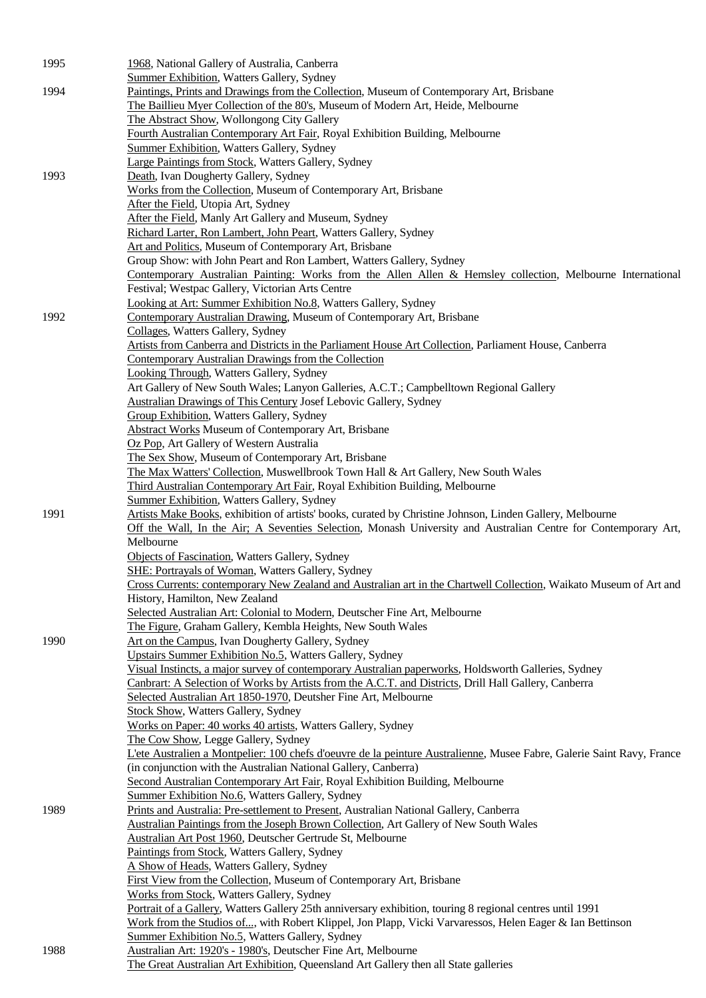| 1995 | 1968, National Gallery of Australia, Canberra                                                                                                                  |
|------|----------------------------------------------------------------------------------------------------------------------------------------------------------------|
|      | <b>Summer Exhibition, Watters Gallery, Sydney</b>                                                                                                              |
| 1994 | Paintings, Prints and Drawings from the Collection, Museum of Contemporary Art, Brisbane                                                                       |
|      | The Baillieu Myer Collection of the 80's, Museum of Modern Art, Heide, Melbourne                                                                               |
|      | The Abstract Show, Wollongong City Gallery<br>Fourth Australian Contemporary Art Fair, Royal Exhibition Building, Melbourne                                    |
|      | <b>Summer Exhibition, Watters Gallery, Sydney</b>                                                                                                              |
|      | Large Paintings from Stock, Watters Gallery, Sydney                                                                                                            |
| 1993 | Death, Ivan Dougherty Gallery, Sydney                                                                                                                          |
|      | Works from the Collection, Museum of Contemporary Art, Brisbane                                                                                                |
|      | After the Field, Utopia Art, Sydney                                                                                                                            |
|      | After the Field, Manly Art Gallery and Museum, Sydney                                                                                                          |
|      | Richard Larter, Ron Lambert, John Peart, Watters Gallery, Sydney                                                                                               |
|      | Art and Politics, Museum of Contemporary Art, Brisbane<br>Group Show: with John Peart and Ron Lambert, Watters Gallery, Sydney                                 |
|      | Contemporary Australian Painting: Works from the Allen Allen & Hemsley collection, Melbourne International                                                     |
|      | Festival; Westpac Gallery, Victorian Arts Centre                                                                                                               |
|      | Looking at Art: Summer Exhibition No.8, Watters Gallery, Sydney                                                                                                |
| 1992 | Contemporary Australian Drawing, Museum of Contemporary Art, Brisbane                                                                                          |
|      | Collages, Watters Gallery, Sydney                                                                                                                              |
|      | Artists from Canberra and Districts in the Parliament House Art Collection, Parliament House, Canberra                                                         |
|      | Contemporary Australian Drawings from the Collection                                                                                                           |
|      | Looking Through, Watters Gallery, Sydney<br>Art Gallery of New South Wales; Lanyon Galleries, A.C.T.; Campbelltown Regional Gallery                            |
|      | <b>Australian Drawings of This Century Josef Lebovic Gallery, Sydney</b>                                                                                       |
|      | Group Exhibition, Watters Gallery, Sydney                                                                                                                      |
|      | <b>Abstract Works Museum of Contemporary Art, Brisbane</b>                                                                                                     |
|      | Oz Pop, Art Gallery of Western Australia                                                                                                                       |
|      | The Sex Show, Museum of Contemporary Art, Brisbane                                                                                                             |
|      | The Max Watters' Collection, Muswellbrook Town Hall & Art Gallery, New South Wales                                                                             |
|      | Third Australian Contemporary Art Fair, Royal Exhibition Building, Melbourne                                                                                   |
| 1991 | <b>Summer Exhibition, Watters Gallery, Sydney</b><br>Artists Make Books, exhibition of artists' books, curated by Christine Johnson, Linden Gallery, Melbourne |
|      | Off the Wall, In the Air; A Seventies Selection, Monash University and Australian Centre for Contemporary Art,                                                 |
|      | Melbourne                                                                                                                                                      |
|      | Objects of Fascination, Watters Gallery, Sydney                                                                                                                |
|      | <b>SHE: Portrayals of Woman, Watters Gallery, Sydney</b>                                                                                                       |
|      | Cross Currents: contemporary New Zealand and Australian art in the Chartwell Collection, Waikato Museum of Art and                                             |
|      | History, Hamilton, New Zealand                                                                                                                                 |
|      | Selected Australian Art: Colonial to Modern, Deutscher Fine Art, Melbourne<br>The Figure, Graham Gallery, Kembla Heights, New South Wales                      |
| 1990 | Art on the Campus, Ivan Dougherty Gallery, Sydney                                                                                                              |
|      | Upstairs Summer Exhibition No.5, Watters Gallery, Sydney                                                                                                       |
|      | Visual Instincts, a major survey of contemporary Australian paperworks, Holdsworth Galleries, Sydney                                                           |
|      | Canbrart: A Selection of Works by Artists from the A.C.T. and Districts, Drill Hall Gallery, Canberra                                                          |
|      | Selected Australian Art 1850-1970, Deutsher Fine Art, Melbourne                                                                                                |
|      | <b>Stock Show, Watters Gallery, Sydney</b>                                                                                                                     |
|      | Works on Paper: 40 works 40 artists, Watters Gallery, Sydney<br>The Cow Show, Legge Gallery, Sydney                                                            |
|      | L'ete Australien a Montpelier: 100 chefs d'oeuvre de la peinture Australienne, Musee Fabre, Galerie Saint Ravy, France                                         |
|      | (in conjunction with the Australian National Gallery, Canberra)                                                                                                |
|      | Second Australian Contemporary Art Fair, Royal Exhibition Building, Melbourne                                                                                  |
|      | Summer Exhibition No.6, Watters Gallery, Sydney                                                                                                                |
| 1989 | Prints and Australia: Pre-settlement to Present, Australian National Gallery, Canberra                                                                         |
|      | Australian Paintings from the Joseph Brown Collection, Art Gallery of New South Wales                                                                          |
|      | Australian Art Post 1960, Deutscher Gertrude St, Melbourne<br>Paintings from Stock, Watters Gallery, Sydney                                                    |
|      | A Show of Heads, Watters Gallery, Sydney                                                                                                                       |
|      | First View from the Collection, Museum of Contemporary Art, Brisbane                                                                                           |
|      | Works from Stock, Watters Gallery, Sydney                                                                                                                      |
|      | Portrait of a Gallery, Watters Gallery 25th anniversary exhibition, touring 8 regional centres until 1991                                                      |
|      | Work from the Studios of, with Robert Klippel, Jon Plapp, Vicki Varvaressos, Helen Eager & Ian Bettinson                                                       |
|      | Summer Exhibition No.5, Watters Gallery, Sydney                                                                                                                |
| 1988 | Australian Art: 1920's - 1980's, Deutscher Fine Art, Melbourne<br>The Great Australian Art Exhibition, Queensland Art Gallery then all State galleries         |
|      |                                                                                                                                                                |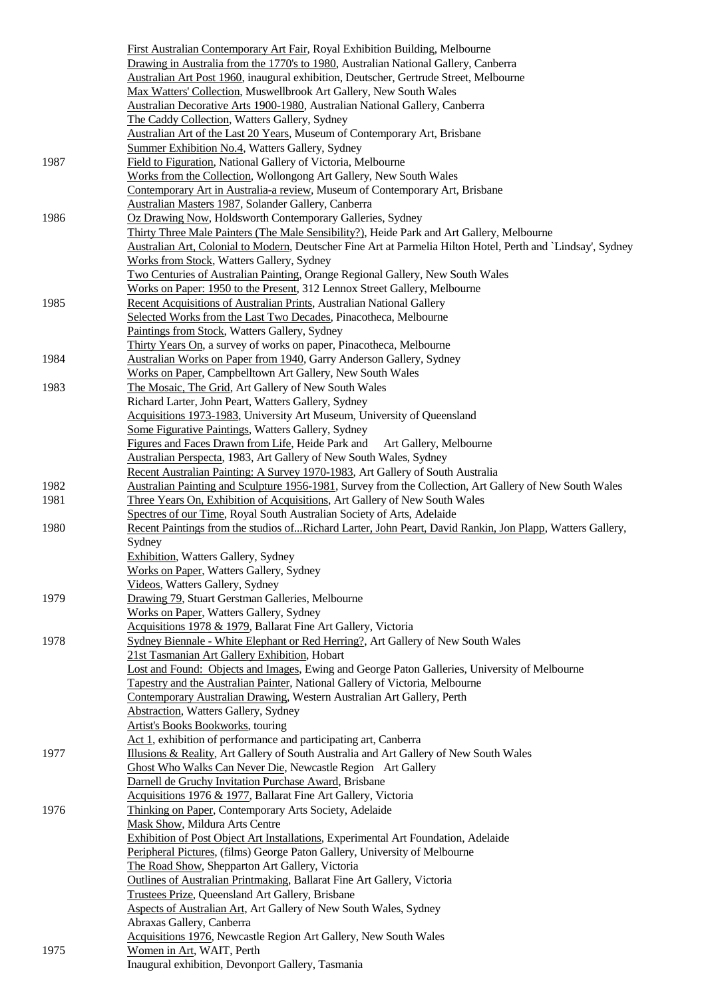|      | First Australian Contemporary Art Fair, Royal Exhibition Building, Melbourne                                 |
|------|--------------------------------------------------------------------------------------------------------------|
|      | Drawing in Australia from the 1770's to 1980, Australian National Gallery, Canberra                          |
|      | Australian Art Post 1960, inaugural exhibition, Deutscher, Gertrude Street, Melbourne                        |
|      | Max Watters' Collection, Muswellbrook Art Gallery, New South Wales                                           |
|      | Australian Decorative Arts 1900-1980, Australian National Gallery, Canberra                                  |
|      | The Caddy Collection, Watters Gallery, Sydney                                                                |
|      | Australian Art of the Last 20 Years, Museum of Contemporary Art, Brisbane                                    |
|      | Summer Exhibition No.4, Watters Gallery, Sydney                                                              |
| 1987 | Field to Figuration, National Gallery of Victoria, Melbourne                                                 |
|      | Works from the Collection, Wollongong Art Gallery, New South Wales                                           |
|      | Contemporary Art in Australia-a review, Museum of Contemporary Art, Brisbane                                 |
|      | Australian Masters 1987, Solander Gallery, Canberra                                                          |
| 1986 | Oz Drawing Now, Holdsworth Contemporary Galleries, Sydney                                                    |
|      | Thirty Three Male Painters (The Male Sensibility?), Heide Park and Art Gallery, Melbourne                    |
|      | Australian Art, Colonial to Modern, Deutscher Fine Art at Parmelia Hilton Hotel, Perth and `Lindsay', Sydney |
|      | Works from Stock, Watters Gallery, Sydney                                                                    |
|      | Two Centuries of Australian Painting, Orange Regional Gallery, New South Wales                               |
|      | Works on Paper: 1950 to the Present, 312 Lennox Street Gallery, Melbourne                                    |
| 1985 | Recent Acquisitions of Australian Prints, Australian National Gallery                                        |
|      | Selected Works from the Last Two Decades, Pinacotheca, Melbourne                                             |
|      | Paintings from Stock, Watters Gallery, Sydney                                                                |
|      | Thirty Years On, a survey of works on paper, Pinacotheca, Melbourne                                          |
| 1984 | Australian Works on Paper from 1940, Garry Anderson Gallery, Sydney                                          |
|      | Works on Paper, Campbelltown Art Gallery, New South Wales                                                    |
| 1983 | The Mosaic, The Grid, Art Gallery of New South Wales                                                         |
|      | Richard Larter, John Peart, Watters Gallery, Sydney                                                          |
|      | Acquisitions 1973-1983, University Art Museum, University of Queensland                                      |
|      | Some Figurative Paintings, Watters Gallery, Sydney                                                           |
|      | Figures and Faces Drawn from Life, Heide Park and<br>Art Gallery, Melbourne                                  |
|      | Australian Perspecta, 1983, Art Gallery of New South Wales, Sydney                                           |
|      | Recent Australian Painting: A Survey 1970-1983, Art Gallery of South Australia                               |
| 1982 | Australian Painting and Sculpture 1956-1981, Survey from the Collection, Art Gallery of New South Wales      |
| 1981 | Three Years On, Exhibition of Acquisitions, Art Gallery of New South Wales                                   |
|      | Spectres of our Time, Royal South Australian Society of Arts, Adelaide                                       |
| 1980 | Recent Paintings from the studios ofRichard Larter, John Peart, David Rankin, Jon Plapp, Watters Gallery,    |
|      | Sydney                                                                                                       |
|      | <b>Exhibition</b> , Watters Gallery, Sydney                                                                  |
|      | Works on Paper, Watters Gallery, Sydney                                                                      |
|      | Videos, Watters Gallery, Sydney                                                                              |
| 1979 | Drawing 79, Stuart Gerstman Galleries, Melbourne                                                             |
|      | Works on Paper, Watters Gallery, Sydney                                                                      |
|      | Acquisitions 1978 & 1979, Ballarat Fine Art Gallery, Victoria                                                |
| 1978 | Sydney Biennale - White Elephant or Red Herring?, Art Gallery of New South Wales                             |
|      | 21st Tasmanian Art Gallery Exhibition, Hobart                                                                |
|      | Lost and Found: Objects and Images, Ewing and George Paton Galleries, University of Melbourne                |
|      | Tapestry and the Australian Painter, National Gallery of Victoria, Melbourne                                 |
|      | Contemporary Australian Drawing, Western Australian Art Gallery, Perth                                       |
|      | <b>Abstraction, Watters Gallery, Sydney</b>                                                                  |
|      | Artist's Books Bookworks, touring                                                                            |
|      | Act 1, exhibition of performance and participating art, Canberra                                             |
| 1977 | Illusions & Reality, Art Gallery of South Australia and Art Gallery of New South Wales                       |
|      | Ghost Who Walks Can Never Die, Newcastle Region Art Gallery                                                  |
|      | Darnell de Gruchy Invitation Purchase Award, Brisbane                                                        |
|      | Acquisitions 1976 & 1977, Ballarat Fine Art Gallery, Victoria                                                |
| 1976 | Thinking on Paper, Contemporary Arts Society, Adelaide                                                       |
|      | Mask Show, Mildura Arts Centre                                                                               |
|      | Exhibition of Post Object Art Installations, Experimental Art Foundation, Adelaide                           |
|      | Peripheral Pictures, (films) George Paton Gallery, University of Melbourne                                   |
|      | The Road Show, Shepparton Art Gallery, Victoria                                                              |
|      | Outlines of Australian Printmaking, Ballarat Fine Art Gallery, Victoria                                      |
|      | Trustees Prize, Queensland Art Gallery, Brisbane                                                             |
|      | Aspects of Australian Art, Art Gallery of New South Wales, Sydney                                            |
|      | Abraxas Gallery, Canberra                                                                                    |
|      | Acquisitions 1976, Newcastle Region Art Gallery, New South Wales                                             |
| 1975 | Women in Art, WAIT, Perth                                                                                    |
|      | Inaugural exhibition, Devonport Gallery, Tasmania                                                            |
|      |                                                                                                              |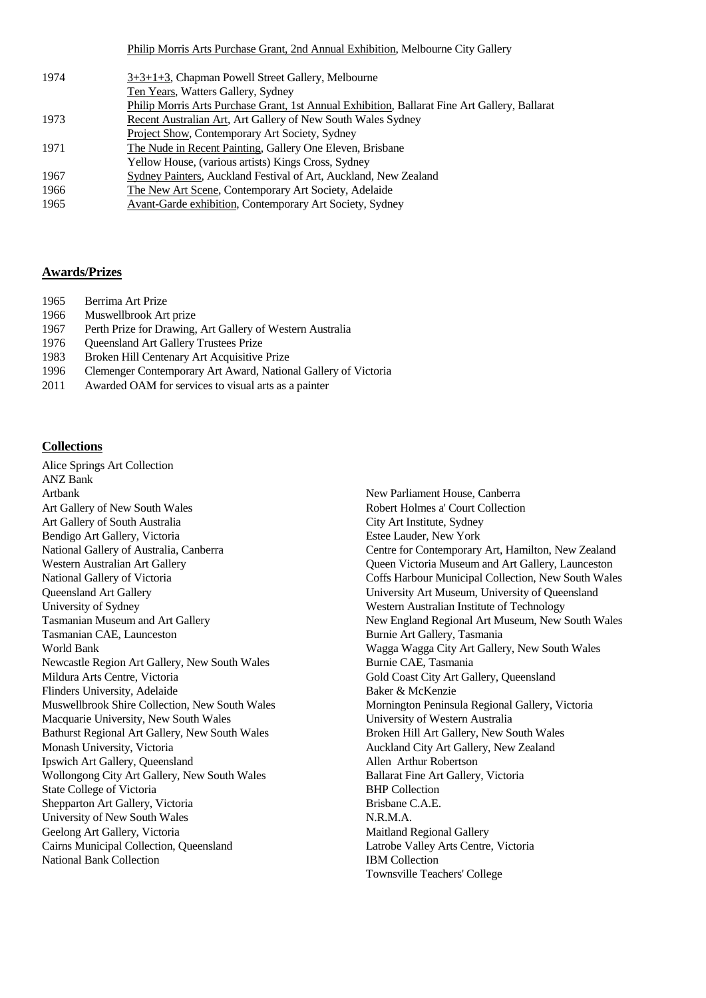Philip Morris Arts Purchase Grant, 2nd Annual Exhibition, Melbourne City Gallery

| 1974 | 3+3+1+3, Chapman Powell Street Gallery, Melbourne                                             |
|------|-----------------------------------------------------------------------------------------------|
|      | Ten Years, Watters Gallery, Sydney                                                            |
|      | Philip Morris Arts Purchase Grant, 1st Annual Exhibition, Ballarat Fine Art Gallery, Ballarat |
| 1973 | Recent Australian Art, Art Gallery of New South Wales Sydney                                  |
|      | Project Show, Contemporary Art Society, Sydney                                                |
| 1971 | The Nude in Recent Painting, Gallery One Eleven, Brisbane                                     |
|      | Yellow House, (various artists) Kings Cross, Sydney                                           |
| 1967 | Sydney Painters, Auckland Festival of Art, Auckland, New Zealand                              |
| 1966 | The New Art Scene, Contemporary Art Society, Adelaide                                         |
| 1965 | Avant-Garde exhibition, Contemporary Art Society, Sydney                                      |

## **Awards/Prizes**

- 1965 Berrima Art Prize
- 1966 Muswellbrook Art prize
- 1967 Perth Prize for Drawing, Art Gallery of Western Australia
- 1976 Queensland Art Gallery Trustees Prize
- 1983 Broken Hill Centenary Art Acquisitive Prize
- 1996 Clemenger Contemporary Art Award, National Gallery of Victoria
- 2011 Awarded OAM for services to visual arts as a painter

### **Collections**

Alice Springs Art Collection ANZ Bank Artbank Art Gallery of New South Wales Art Gallery of South Australia Bendigo Art Gallery, Victoria National Gallery of Australia, Canberra Western Australian Art Gallery National Gallery of Victoria Queensland Art Gallery University of Sydney Tasmanian Museum and Art Gallery Tasmanian CAE, Launceston World Bank Newcastle Region Art Gallery, New South Wales Mildura Arts Centre, Victoria Flinders University, Adelaide Muswellbrook Shire Collection, New South Wales Macquarie University, New South Wales Bathurst Regional Art Gallery, New South Wales Monash University, Victoria Ipswich Art Gallery, Queensland Wollongong City Art Gallery, New South Wales State College of Victoria Shepparton Art Gallery, Victoria University of New South Wales Geelong Art Gallery, Victoria Cairns Municipal Collection, Queensland National Bank Collection

New Parliament House, Canberra Robert Holmes a' Court Collection City Art Institute, Sydney Estee Lauder, New York Centre for Contemporary Art, Hamilton, New Zealand Queen Victoria Museum and Art Gallery, Launceston Coffs Harbour Municipal Collection, New South Wales University Art Museum, University of Queensland Western Australian Institute of Technology New England Regional Art Museum, New South Wales Burnie Art Gallery, Tasmania Wagga Wagga City Art Gallery, New South Wales Burnie CAE, Tasmania Gold Coast City Art Gallery, Queensland Baker & McKenzie Mornington Peninsula Regional Gallery, Victoria University of Western Australia Broken Hill Art Gallery, New South Wales Auckland City Art Gallery, New Zealand Allen Arthur Robertson Ballarat Fine Art Gallery, Victoria BHP Collection Brisbane C.A.E. N.R.M.A. Maitland Regional Gallery Latrobe Valley Arts Centre, Victoria IBM Collection Townsville Teachers' College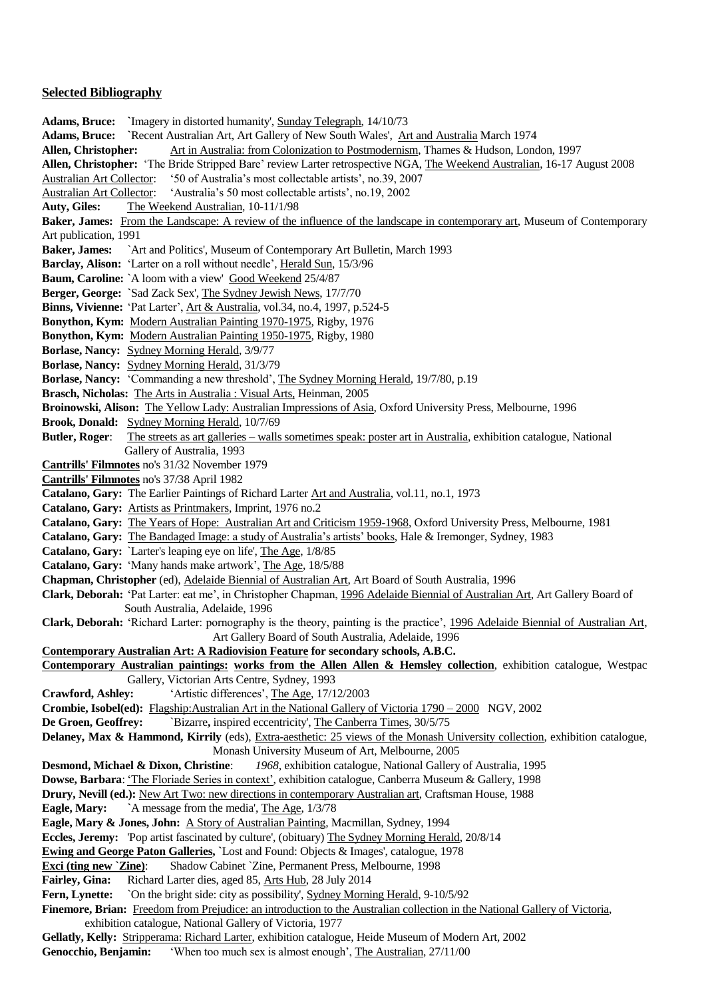#### **Selected Bibliography**

**Adams, Bruce: `**Imagery in distorted humanity', Sunday Telegraph, 14/10/73 **Adams, Bruce: `**Recent Australian Art, Art Gallery of New South Wales', Art and Australia March 1974 **Allen, Christopher:** Art in Australia: from Colonization to Postmodernism, Thames & Hudson, London, 1997 **Allen, Christopher:** 'The Bride Stripped Bare' review Larter retrospective NGA, The Weekend Australian, 16-17 August 2008 Australian Art Collector: '50 of Australia's most collectable artists', no.39, 2007 Australian Art Collector: 'Australia's 50 most collectable artists', no.19, 2002 **Auty, Giles:** The Weekend Australian, 10-11/1/98 **Baker, James:** From the Landscape: A review of the influence of the landscape in contemporary art, Museum of Contemporary Art publication, 1991 **Baker, James:** `Art and Politics', Museum of Contemporary Art Bulletin, March 1993 **Barclay, Alison:** 'Larter on a roll without needle', Herald Sun, 15/3/96 Baum, Caroline: `A loom with a view' Good Weekend 25/4/87 **Berger, George: `**Sad Zack Sex', The Sydney Jewish News, 17/7/70 **Binns, Vivienne:** 'Pat Larter', Art & Australia, vol.34, no.4, 1997, p.524-5 **Bonython, Kym:** Modern Australian Painting 1970-1975, Rigby, 1976 **Bonython, Kym:** Modern Australian Painting 1950-1975, Rigby, 1980 **Borlase, Nancy:** Sydney Morning Herald, 3/9/77 **Borlase, Nancy:** Sydney Morning Herald, 31/3/79 **Borlase, Nancy:** 'Commanding a new threshold', The Sydney Morning Herald, 19/7/80, p.19 **Brasch, Nicholas:** The Arts in Australia : Visual Arts, Heinman, 2005 **Broinowski, Alison:** The Yellow Lady: Australian Impressions of Asia, Oxford University Press, Melbourne, 1996 **Brook, Donald:** Sydney Morning Herald, 10/7/69 **Butler, Roger**: The streets as art galleries – walls sometimes speak: poster art in Australia, exhibition catalogue, National Gallery of Australia, 1993 **Cantrills' Filmnotes** no's 31/32 November 1979 **Cantrills' Filmnotes** no's 37/38 April 1982 **Catalano, Gary:** The Earlier Paintings of Richard Larter Art and Australia, vol.11, no.1, 1973 **Catalano, Gary:** Artists as Printmakers, Imprint, 1976 no.2 **Catalano, Gary:** The Years of Hope: Australian Art and Criticism 1959-1968, Oxford University Press, Melbourne, 1981 **Catalano, Gary:** The Bandaged Image: a study of Australia's artists' books, Hale & Iremonger, Sydney, 1983 **Catalano, Gary:** `Larter's leaping eye on life', The Age, 1/8/85 **Catalano, Gary:** 'Many hands make artwork', The Age, 18/5/88 **Chapman, Christopher** (ed), Adelaide Biennial of Australian Art, Art Board of South Australia, 1996 **Clark, Deborah:** 'Pat Larter: eat me', in Christopher Chapman, 1996 Adelaide Biennial of Australian Art, Art Gallery Board of South Australia, Adelaide, 1996 **Clark, Deborah:** 'Richard Larter: pornography is the theory, painting is the practice', 1996 Adelaide Biennial of Australian Art, Art Gallery Board of South Australia, Adelaide, 1996 **Contemporary Australian Art: A Radiovision Feature for secondary schools, A.B.C. Contemporary Australian paintings: works from the Allen Allen & Hemsley collection**, exhibition catalogue, Westpac Gallery, Victorian Arts Centre, Sydney, 1993 **Crawford, Ashley:** 'Artistic differences', The Age, 17/12/2003 **Crombie, Isobel(ed):** Flagship:Australian Art in the National Gallery of Victoria 1790 – 2000 NGV, 2002 **De Groen, Geoffrey:** ``Bizarre, inspired eccentricity', The Canberra Times, 30/5/75 **Delaney, Max & Hammond, Kirrily** (eds), Extra-aesthetic: 25 views of the Monash University collection, exhibition catalogue, Monash University Museum of Art, Melbourne, 2005 **Desmond, Michael & Dixon, Christine**: *1968*, exhibition catalogue, National Gallery of Australia, 1995 **Dowse, Barbara**: 'The Floriade Series in context', exhibition catalogue, Canberra Museum & Gallery, 1998 **Drury, Nevill (ed.):** New Art Two: new directions in contemporary Australian art, Craftsman House, 1988 **Eagle, Mary: `**A message from the media', The Age, 1/3/78 **Eagle, Mary & Jones, John:** A Story of Australian Painting, Macmillan, Sydney, 1994 **Eccles, Jeremy:** 'Pop artist fascinated by culture', (obituary) The Sydney Morning Herald, 20/8/14 **Ewing and George Paton Galleries, `**Lost and Found: Objects & Images', catalogue, 1978 **Exci (ting new `Zine)**: Shadow Cabinet `Zine, Permanent Press, Melbourne, 1998 **Fairley, Gina:** Richard Larter dies, aged 85, Arts Hub, 28 July 2014 **Fern, Lynette:** `On the bright side: city as possibility', Sydney Morning Herald, 9-10/5/92 **Finemore, Brian:** Freedom from Prejudice: an introduction to the Australian collection in the National Gallery of Victoria, exhibition catalogue, National Gallery of Victoria, 1977 **Gellatly, Kelly:** Stripperama: Richard Larter, exhibition catalogue, Heide Museum of Modern Art, 2002 **Genocchio, Benjamin:** 'When too much sex is almost enough', The Australian, 27/11/00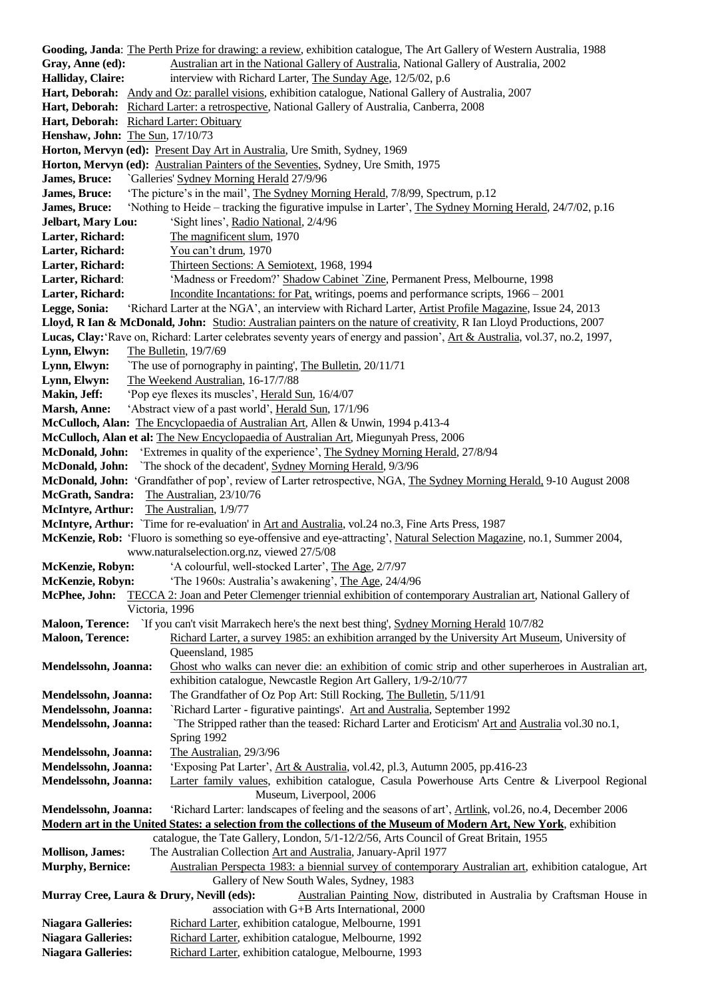**Gooding, Janda**: The Perth Prize for drawing: a review, exhibition catalogue, The Art Gallery of Western Australia, 1988 Gray, Anne (ed): Australian art in the National Gallery of Australia, National Gallery of Australia, 2002 **Halliday, Claire:** interview with Richard Larter, The Sunday Age, 12/5/02, p.6 **Hart, Deborah:** Andy and Oz: parallel visions, exhibition catalogue, National Gallery of Australia, 2007 **Hart, Deborah:** Richard Larter: a retrospective, National Gallery of Australia, Canberra, 2008 Hart, Deborah: Richard Larter: Obituary **Henshaw, John:** The Sun, 17/10/73 Horton, Mervyn (ed): Present Day Art in Australia, Ure Smith, Sydney, 1969 **Horton, Mervyn (ed):** Australian Painters of the Seventies, Sydney, Ure Smith, 1975 **James, Bruce:** `Galleries' Sydney Morning Herald 27/9/96 **James, Bruce:** 'The picture's in the mail', The Sydney Morning Herald, 7/8/99, Spectrum, p.12 **James, Bruce:** 'Nothing to Heide – tracking the figurative impulse in Larter', The Sydney Morning Herald, 24/7/02, p.16 **Jelbart, Mary Lou:** 'Sight lines', Radio National, 2/4/96 **Larter, Richard:** The magnificent slum, 1970 Larter, Richard: You can't drum, 1970 Larter, Richard: Thirteen Sections: A Semiotext, 1968, 1994 Larter, Richard: 'Madness or Freedom?' Shadow Cabinet `Zine, Permanent Press, Melbourne, 1998 Larter, Richard: Incondite Incantations: for Pat, writings, poems and performance scripts, 1966 – 2001 **Legge, Sonia:** 'Richard Larter at the NGA', an interview with Richard Larter, Artist Profile Magazine, Issue 24, 2013 **Lloyd, R Ian & McDonald, John:** Studio: Australian painters on the nature of creativity, R Ian Lloyd Productions, 2007 **Lucas, Clay:**'Rave on, Richard: Larter celebrates seventy years of energy and passion', Art & Australia, vol.37, no.2, 1997, **Lynn, Elwyn:** The Bulletin, 19/7/69 **Lynn, Elwyn:** `The use of pornography in painting', The Bulletin, 20/11/71 **Lynn, Elwyn:** The Weekend Australian, 16-17/7/88 **Makin, Jeff:** 'Pop eye flexes its muscles', Herald Sun, 16/4/07 **Marsh, Anne:** 'Abstract view of a past world', Herald Sun, 17/1/96 **McCulloch, Alan:** The Encyclopaedia of Australian Art, Allen & Unwin, 1994 p.413-4 **McCulloch, Alan et al:** The New Encyclopaedia of Australian Art, Miegunyah Press, 2006 **McDonald, John:** 'Extremes in quality of the experience', The Sydney Morning Herald, 27/8/94 **McDonald, John:** `The shock of the decadent', Sydney Morning Herald, 9/3/96 **McDonald, John:** 'Grandfather of pop', review of Larter retrospective, NGA, The Sydney Morning Herald, 9-10 August 2008 **McGrath, Sandra:** The Australian, 23/10/76 **McIntyre, Arthur:** The Australian, 1/9/77 **McIntyre, Arthur:** `Time for re-evaluation' in Art and Australia, vol.24 no.3, Fine Arts Press, 1987 **McKenzie, Rob:** 'Fluoro is something so eye-offensive and eye-attracting', Natural Selection Magazine, no.1, Summer 2004, www.naturalselection.org.nz, viewed 27/5/08 **McKenzie, Robyn:** 'A colourful, well-stocked Larter', The Age, 2/7/97 **McKenzie, Robyn:** 'The 1960s: Australia's awakening', The Age, 24/4/96 **McPhee, John:** TECCA 2: Joan and Peter Clemenger triennial exhibition of contemporary Australian art, National Gallery of Victoria, 1996 **Maloon, Terence:** `If you can't visit Marrakech here's the next best thing', Sydney Morning Herald 10/7/82 **Maloon, Terence:** Richard Larter, a survey 1985: an exhibition arranged by the University Art Museum, University of Queensland, 1985 **Mendelssohn, Joanna:** Ghost who walks can never die: an exhibition of comic strip and other superheroes in Australian art, exhibition catalogue, Newcastle Region Art Gallery, 1/9-2/10/77 **Mendelssohn, Joanna:** The Grandfather of Oz Pop Art: Still Rocking, The Bulletin, 5/11/91 **Mendelssohn, Joanna:** `Richard Larter - figurative paintings'. Art and Australia, September 1992 **Mendelssohn, Joanna:** `The Stripped rather than the teased: Richard Larter and Eroticism' Art and Australia vol.30 no.1, Spring 1992 **Mendelssohn, Joanna:** The Australian, 29/3/96 **Mendelssohn, Joanna:** 'Exposing Pat Larter', Art & Australia, vol.42, pl.3, Autumn 2005, pp.416-23 **Mendelssohn, Joanna:** Larter family values, exhibition catalogue, Casula Powerhouse Arts Centre & Liverpool Regional Museum, Liverpool, 2006 **Mendelssohn, Joanna:** 'Richard Larter: landscapes of feeling and the seasons of art', Artlink, vol.26, no.4, December 2006 **Modern art in the United States: a selection from the collections of the Museum of Modern Art, New York**, exhibition catalogue, the Tate Gallery, London, 5/1-12/2/56, Arts Council of Great Britain, 1955 **Mollison, James:** The Australian Collection Art and Australia, January-April 1977 **Murphy, Bernice:** Australian Perspecta 1983: a biennial survey of contemporary Australian art, exhibition catalogue, Art Gallery of New South Wales, Sydney, 1983 **Murray Cree, Laura & Drury, Nevill (eds):** Australian Painting Now, distributed in Australia by Craftsman House in association with G+B Arts International, 2000 Niagara Galleries: Richard Larter, exhibition catalogue, Melbourne, 1991 Niagara Galleries: Richard Larter, exhibition catalogue, Melbourne, 1992 Niagara Galleries: Richard Larter, exhibition catalogue, Melbourne, 1993